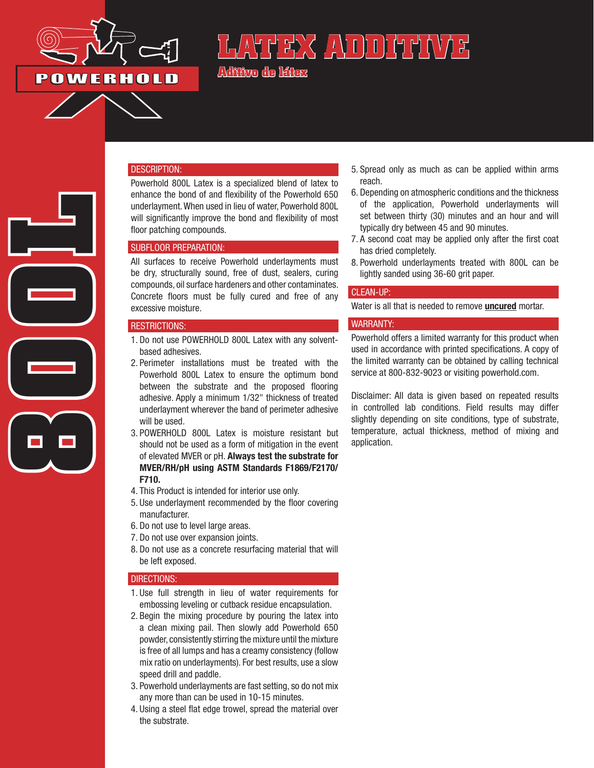

# **POWERHOLD**

# **LATEX ADDITIVE Aditivo de látex**

#### DESCRIPTION:

Powerhold 800L Latex is a specialized blend of latex to enhance the bond of and flexibility of the Powerhold 650 underlayment. When used in lieu of water, Powerhold 800L will significantly improve the bond and flexibility of most floor patching compounds.

#### SUBFLOOR PREPARATION:

All surfaces to receive Powerhold underlayments must be dry, structurally sound, free of dust, sealers, curing compounds, oil surface hardeners and other contaminates. Concrete floors must be fully cured and free of any excessive moisture.

#### RESTRICTIONS:

**800LLL** 

- 1. Do not use POWERHOLD 800L Latex with any solventbased adhesives.
- 2. Perimeter installations must be treated with the Powerhold 800L Latex to ensure the optimum bond between the substrate and the proposed flooring adhesive. Apply a minimum 1/32" thickness of treated underlayment wherever the band of perimeter adhesive will be used.
- 3. POWERHOLD 800L Latex is moisture resistant but should not be used as a form of mitigation in the event of elevated MVER or pH. Always test the substrate for MVER/RH/pH using ASTM Standards F1869/F2170/ F710.
- 4. This Product is intended for interior use only.
- 5. Use underlayment recommended by the floor covering manufacturer.
- 6. Do not use to level large areas.
- 7. Do not use over expansion joints.
- 8. Do not use as a concrete resurfacing material that will be left exposed.

#### DIRECTIONS:

- 1. Use full strength in lieu of water requirements for embossing leveling or cutback residue encapsulation.
- 2. Begin the mixing procedure by pouring the latex into a clean mixing pail. Then slowly add Powerhold 650 powder, consistently stirring the mixture until the mixture is free of all lumps and has a creamy consistency (follow mix ratio on underlayments). For best results, use a slow speed drill and paddle.
- 3. Powerhold underlayments are fast setting, so do not mix any more than can be used in 10-15 minutes.
- 4. Using a steel flat edge trowel, spread the material over the substrate.
- 5. Spread only as much as can be applied within arms reach.
- 6. Depending on atmospheric conditions and the thickness of the application, Powerhold underlayments will set between thirty (30) minutes and an hour and will typically dry between 45 and 90 minutes.
- 7. A second coat may be applied only after the first coat has dried completely.
- 8. Powerhold underlayments treated with 800L can be lightly sanded using 36-60 grit paper.

#### CLEAN-UP:

Water is all that is needed to remove **uncured** mortar.

#### WARRANTY:

Powerhold offers a limited warranty for this product when used in accordance with printed specifications. A copy of the limited warranty can be obtained by calling technical service at 800-832-9023 or visiting powerhold.com.

Disclaimer: All data is given based on repeated results in controlled lab conditions. Field results may differ slightly depending on site conditions, type of substrate, temperature, actual thickness, method of mixing and application.